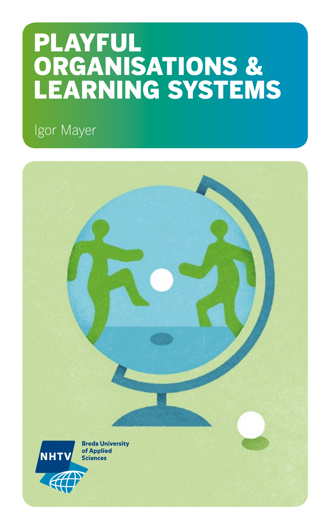# PLAYFUL ORGANISATIONS & LEARNING SYSTEMS

Igor Mayer

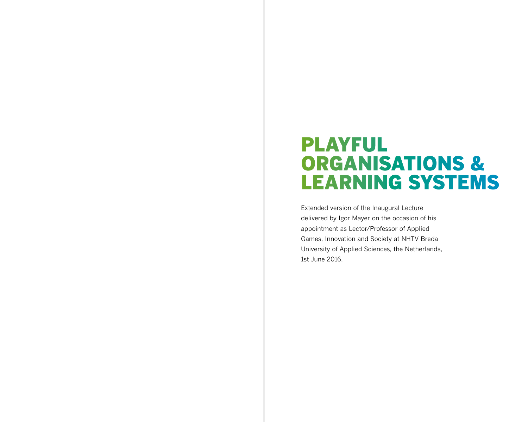# PLAYFUL ORGANISATIONS & LEARNING SYSTEMS

Extended version of the Inaugural Lecture delivered by Igor Mayer on the occasion of his appointment as Lector/Professor of Applied Games, Innovation and Society at NHTV Breda University of Applied Sciences, the Netherlands, 1st June 2016.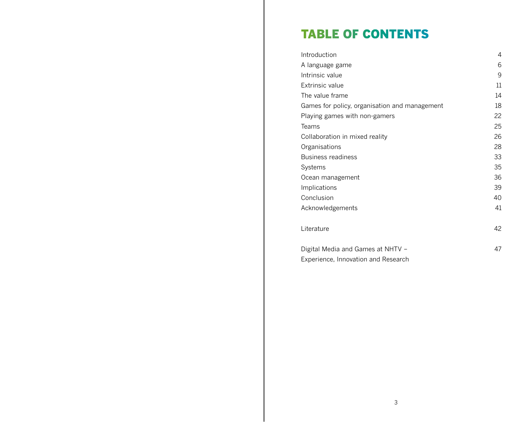# TABLE OF CONTENTS

| Introduction                                  | 4  |
|-----------------------------------------------|----|
| A language game                               | 6  |
| Intrinsic value                               | 9  |
| <b>Extrinsic value</b>                        | 11 |
| The value frame                               | 14 |
| Games for policy, organisation and management | 18 |
| Playing games with non-gamers                 | 22 |
| Teams                                         | 25 |
| Collaboration in mixed reality                | 26 |
| Organisations                                 | 28 |
| Business readiness                            | 33 |
| Systems                                       | 35 |
| Ocean management                              | 36 |
| Implications                                  | 39 |
| Conclusion                                    | 40 |
| Acknowledgements                              | 41 |
| Literature                                    | 42 |
| Digital Media and Games at NHTV -             | 47 |
| Experience, Innovation and Research           |    |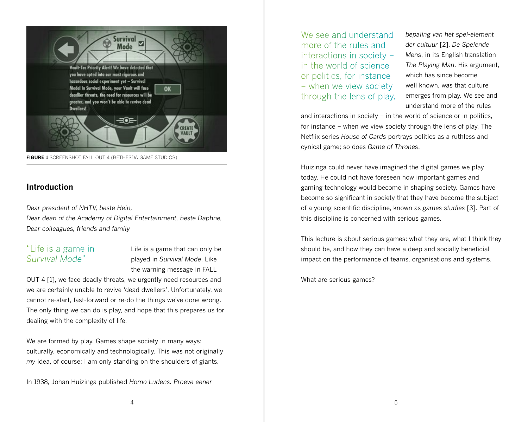

**FIGURE 1** SCREENSHOT FALL OUT 4 (BETHESDA GAME STUDIOS)

#### **Introduction**

*Dear president of NHTV, beste Hein,*

*Dear dean of the Academy of Digital Entertainment, beste Daphne, Dear colleagues, friends and family*

# "Life is a game in *Survival Mode*"

Life is a game that can only be played in *Survival Mode*. Like the warning message in FALL

OUT 4 [1], we face deadly threats, we urgently need resources and we are certainly unable to revive 'dead dwellers'. Unfortunately, we cannot re-start, fast-forward or re-do the things we've done wrong. The only thing we can do is play, and hope that this prepares us for dealing with the complexity of life.

We are formed by play. Games shape society in many ways: culturally, economically and technologically. This was not originally *my* idea, of course; I am only standing on the shoulders of giants.

In 1938, Johan Huizinga published *Homo Ludens. Proeve eener* 

We see and understand more of the rules and interactions in society – in the world of science or politics, for instance – when we view society through the lens of play. *bepaling van het spel-element der cultuur* [2]. *De Spelende Mens*, in its English translation *The Playing Man*. His argument, which has since become well known, was that culture emerges from play. We see and understand more of the rules

and interactions in society – in the world of science or in politics, for instance – when we view society through the lens of play. The Netflix series *House of Cards* portrays politics as a ruthless and cynical game; so does *Game of Thrones*.

Huizinga could never have imagined the digital games we play today. He could not have foreseen how important games and gaming technology would become in shaping society. Games have become so significant in society that they have become the subject of a young scientific discipline, known as *games studies* [3]. Part of this discipline is concerned with serious games.

This lecture is about serious games: what they are, what I think they should be, and how they can have a deep and socially beneficial impact on the performance of teams, organisations and systems.

What are serious games?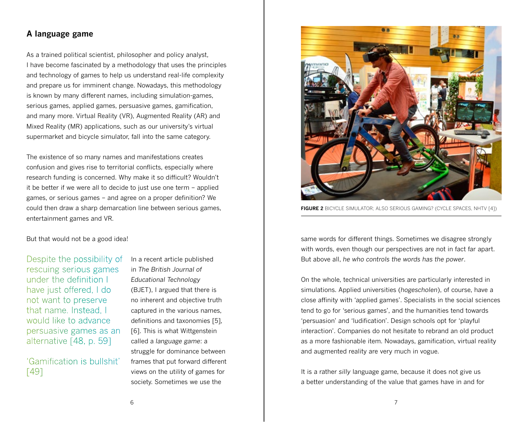#### **A language game**

As a trained political scientist, philosopher and policy analyst, I have become fascinated by a methodology that uses the principles and technology of games to help us understand real-life complexity and prepare us for imminent change. Nowadays, this methodology is known by many different names, including simulation-games, serious games, applied games, persuasive games, gamification, and many more. Virtual Reality (VR), Augmented Reality (AR) and Mixed Reality (MR) applications, such as our university's virtual supermarket and bicycle simulator, fall into the same category.

The existence of so many names and manifestations creates confusion and gives rise to territorial conflicts, especially where research funding is concerned. Why make it so difficult? Wouldn't it be better if we were all to decide to just use one term – applied games, or serious games – and agree on a proper definition? We could then draw a sharp demarcation line between serious games, entertainment games and VR.

But that would not be a good idea!

Despite the possibility of rescuing serious games under the definition I have just offered, I do not want to preserve that name. Instead, I would like to advance persuasive games as an alternative [48, p. 59]

'Gamification is bullshit' [49]

In a recent article published in *The British Journal of Educational Technology* (BJET), I argued that there is no inherent and objective truth captured in the various names, definitions and taxonomies [5], [6]. This is what Wittgenstein called a *language game*: a struggle for dominance between frames that put forward different views on the utility of games for society. Sometimes we use the



**FIGURE 2** BICYCLE SIMULATOR; ALSO SERIOUS GAMING? (CYCLE SPACES, NHTV [4])

same words for different things. Sometimes we disagree strongly with words, even though our perspectives are not in fact far apart. But above all, *he who controls the words has the power*.

On the whole, technical universities are particularly interested in simulations. Applied universities (*hogescholen*), of course, have a close affinity with 'applied games'. Specialists in the social sciences tend to go for 'serious games', and the humanities tend towards 'persuasion' and 'ludification'. Design schools opt for 'playful interaction'. Companies do not hesitate to rebrand an old product as a more fashionable item. Nowadays, gamification, virtual reality and augmented reality are very much in vogue.

It is a rather *silly* language game, because it does not give us a better understanding of the value that games have in and for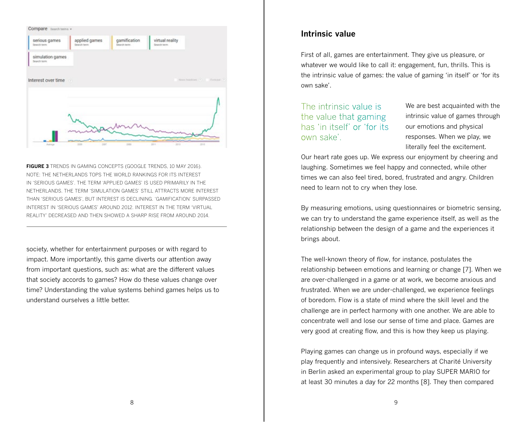

**FIGURE 3** TRENDS IN GAMING CONCEPTS (GOOGLE TRENDS, 10 MAY 2016). NOTE: THE NETHERLANDS TOPS THE WORLD RANKINGS FOR ITS INTEREST IN 'SERIOUS GAMES'. THE TERM 'APPLIED GAMES' IS USED PRIMARILY IN THE NETHERLANDS. THE TERM 'SIMULATION GAMES' STILL ATTRACTS MORE INTEREST THAN 'SERIOUS GAMES', BUT INTEREST IS DECLINING. 'GAMIFICATION' SURPASSED INTEREST IN 'SERIOUS GAMES' AROUND 2012. INTEREST IN THE TERM 'VIRTUAL REALITY' DECREASED AND THEN SHOWED A SHARP RISE FROM AROUND 2014.

society, whether for entertainment purposes or with regard to impact. More importantly, this game diverts our attention away from important questions, such as: what are the different values that society accords to games? How do these values change over time? Understanding the value systems behind games helps us to understand ourselves a little better.

#### **Intrinsic value**

First of all, games are entertainment. They give us pleasure, or whatever we would like to call it: engagement, fun, thrills. This is the intrinsic value of games: the value of gaming 'in itself' or 'for its own sake'.

The intrinsic value is the value that gaming has 'in itself' or 'for its own sake'.

We are best acquainted with the intrinsic value of games through our emotions and physical responses. When we play, we literally feel the excitement.

Our heart rate goes up. We express our enjoyment by cheering and laughing. Sometimes we feel happy and connected, while other times we can also feel tired, bored, frustrated and angry. Children need to learn not to cry when they lose.

By measuring emotions, using questionnaires or biometric sensing, we can try to understand the game experience itself, as well as the relationship between the design of a game and the experiences it brings about.

The well-known theory of *flow*, for instance, postulates the relationship between emotions and learning or change [7]. When we are over-challenged in a game or at work, we become anxious and frustrated. When we are under-challenged, we experience feelings of boredom. Flow is a state of mind where the skill level and the challenge are in perfect harmony with one another. We are able to concentrate well and lose our sense of time and place. Games are very good at creating flow, and this is how they keep us playing.

Playing games can change us in profound ways, especially if we play frequently and intensively. Researchers at Charité University in Berlin asked an experimental group to play SUPER MARIO for at least 30 minutes a day for 22 months [8]. They then compared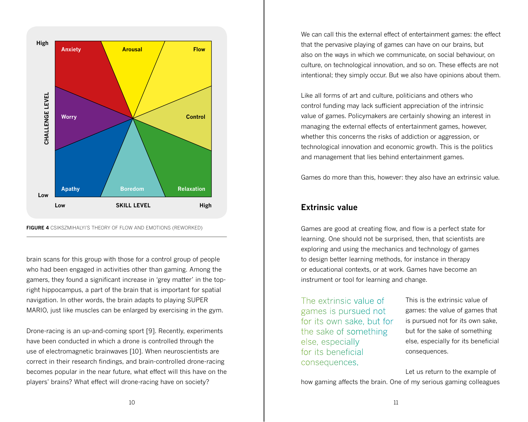

**FIGURE 4** CSIKSZMIHALYI'S THEORY OF FLOW AND EMOTIONS (REWORKED)

brain scans for this group with those for a control group of people who had been engaged in activities other than gaming. Among the gamers, they found a significant increase in 'grey matter' in the topright hippocampus, a part of the brain that is important for spatial navigation. In other words, the brain adapts to playing SUPER MARIO, just like muscles can be enlarged by exercising in the gym.

Drone-racing is an up-and-coming sport [9]. Recently, experiments have been conducted in which a drone is controlled through the use of electromagnetic brainwaves [10]. When neuroscientists are correct in their research findings, and brain-controlled drone-racing becomes popular in the near future, what effect will this have on the players' brains? What effect will drone-racing have on society?

We can call this the external effect of entertainment games: the effect that the pervasive playing of games can have on our brains, but also on the ways in which we communicate, on social behaviour, on culture, on technological innovation, and so on. These effects are not intentional; they simply occur. But we also have opinions about them.

Like all forms of art and culture, politicians and others who control funding may lack sufficient appreciation of the intrinsic value of games. Policymakers are certainly showing an interest in managing the external effects of entertainment games, however, whether this concerns the risks of addiction or aggression, or technological innovation and economic growth. This is the politics and management that lies behind entertainment games.

Games do more than this, however: they also have an extrinsic value.

#### **Extrinsic value**

Games are good at creating flow, and flow is a perfect state for learning. One should not be surprised, then, that scientists are exploring and using the mechanics and technology of games to design better learning methods, for instance in therapy or educational contexts, or at work. Games have become an instrument or tool for learning and change.

The extrinsic value of games is pursued not for its own sake, but for the sake of something else, especially for its beneficial consequences.

This is the extrinsic value of games: the value of games that is pursued not for its own sake, but for the sake of something else, especially for its beneficial consequences.

Let us return to the example of how gaming affects the brain. One of my serious gaming colleagues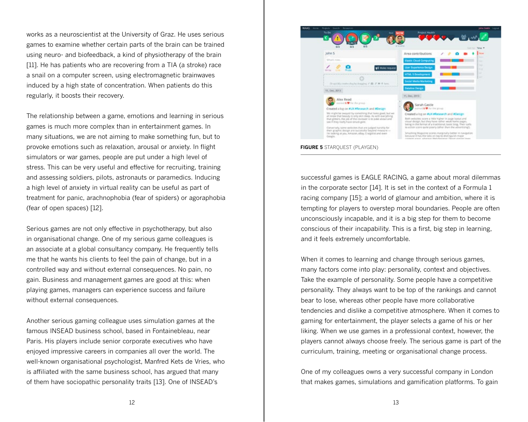works as a neuroscientist at the University of Graz. He uses serious games to examine whether certain parts of the brain can be trained using neuro- and biofeedback, a kind of physiotherapy of the brain [11]. He has patients who are recovering from a TIA (a stroke) race a snail on a computer screen, using electromagnetic brainwaves induced by a high state of concentration. When patients do this regularly, it boosts their recovery.

The relationship between a game, emotions and learning in serious games is much more complex than in entertainment games. In many situations, we are not aiming to make something fun, but to provoke emotions such as relaxation, arousal or anxiety. In flight simulators or war games, people are put under a high level of stress. This can be very useful and effective for recruiting, training and assessing soldiers, pilots, astronauts or paramedics. Inducing a high level of anxiety in virtual reality can be useful as part of treatment for panic, arachnophobia (fear of spiders) or agoraphobia (fear of open spaces) [12].

Serious games are not only effective in psychotherapy, but also in organisational change. One of my serious game colleagues is an associate at a global consultancy company. He frequently tells me that he wants his clients to feel the pain of change, but in a controlled way and without external consequences. No pain, no gain. Business and management games are good at this: when playing games, managers can experience success and failure without external consequences.

Another serious gaming colleague uses simulation games at the famous INSEAD business school, based in Fontainebleau, near Paris. His players include senior corporate executives who have enjoyed impressive careers in companies all over the world. The well-known organisational psychologist, Manfred Kets de Vries, who is affiliated with the same business school, has argued that many of them have sociopathic personality traits [13]. One of INSEAD's



successful games is EAGLE RACING, a game about moral dilemmas in the corporate sector [14]. It is set in the context of a Formula 1 racing company [15]; a world of glamour and ambition, where it is tempting for players to overstep moral boundaries. People are often unconsciously incapable, and it is a big step for them to become conscious of their incapability. This is a first, big step in learning, and it feels extremely uncomfortable.

When it comes to learning and change through serious games, many factors come into play: personality, context and objectives. Take the example of personality. Some people have a competitive personality. They always want to be top of the rankings and cannot bear to lose, whereas other people have more collaborative tendencies and dislike a competitive atmosphere. When it comes to gaming for entertainment, the player selects a game of his or her liking. When we use games in a professional context, however, the players cannot always choose freely. The serious game is part of the curriculum, training, meeting or organisational change process.

One of my colleagues owns a very successful company in London that makes games, simulations and gamification platforms. To gain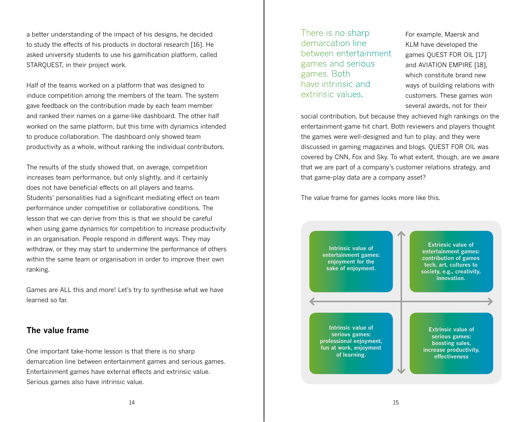a better understanding of the impact of his designs, he decided to study the effects of his products in doctoral research [16]. He asked university students to use his gamification platform, called STARQUEST, in their project work.

Half of the teams worked on a platform that was designed to induce competition among the members of the team. The system gave feedback on the contribution made by each team member and ranked their names on a game-like dashboard. The other half worked on the same platform, but this time with dynamics intended to produce collaboration. The dashboard only showed team productivity as a whole, without ranking the individual contributors.

The results of the study showed that, on average, competition increases team performance, but only slightly, and it certainly does not have beneficial effects on all players and teams. Students' personalities had a significant mediating effect on team performance under competitive or collaborative conditions. The lesson that we can derive from this is that we should be careful when using game dynamics for competition to increase productivity in an organisation. People respond in different ways. They may withdraw, or they may start to undermine the performance of others within the same team or organisation in order to improve their own ranking.

Games are ALL this and more! Let's try to synthesise what we have learned so far.

#### **The value frame**

One important take-home lesson is that there is no sharp demarcation line between entertainment games and serious games. Entertainment games have external effects and extrinsic value. Serious games also have intrinsic value.

There is no sharp demarcation line between entertainment games and serious games. Both have intrinsic and extrinsic values.

For example, Maersk and KLM have developed the games QUEST FOR OIL [17] and AVIATION EMPIRE [18], which constitute brand new ways of building relations with customers. These games won several awards, not for their

social contribution, but because they achieved high rankings on the entertainment-game hit chart. Both reviewers and players thought the games were well-designed and fun to play, and they were discussed in gaming magazines and blogs. QUEST FOR OIL was covered by CNN, Fox and Sky. To what extent, though, are we aware that we are part of a company's customer relations strategy, and that game-play data are a company asset?

The value frame for games looks more like this.

**Intrinsic value of entertainment games: enjoyment for the sake of enjoyment. Intrinsic value of serious games: professional enjoyment, fun at work, enjoyment of learning. Extrinsic value of entertainment games: contribution of games tech, art, cultures to society, e.g., creativity, innovation. Extrinsic value of serious games: boosting sales, increase productivity, effectiveness**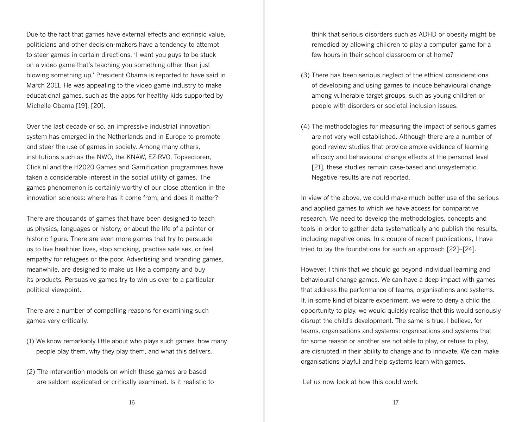Due to the fact that games have external effects and extrinsic value, politicians and other decision-makers have a tendency to attempt to steer games in certain directions. 'I want you guys to be stuck on a video game that's teaching you something other than just blowing something up,' President Obama is reported to have said in March 2011. He was appealing to the video game industry to make educational games, such as the apps for healthy kids supported by Michelle Obama [19], [20].

Over the last decade or so, an impressive industrial innovation system has emerged in the Netherlands and in Europe to promote and steer the use of games in society. Among many others, institutions such as the NWO, the KNAW, EZ-RVO, Topsectoren, Click.nl and the H2020 Games and Gamification programmes have taken a considerable interest in the social utility of games. The games phenomenon is certainly worthy of our close attention in the innovation sciences: where has it come from, and does it matter?

There are thousands of games that have been designed to teach us physics, languages or history, or about the life of a painter or historic figure. There are even more games that try to persuade us to live healthier lives, stop smoking, practise safe sex, or feel empathy for refugees or the poor. Advertising and branding games, meanwhile, are designed to make us like a company and buy its products. Persuasive games try to win us over to a particular political viewpoint.

There are a number of compelling reasons for examining such games very critically.

- (1) We know remarkably little about who plays such games, how many people play them, why they play them, and what this delivers.
- (2) The intervention models on which these games are based are seldom explicated or critically examined. Is it realistic to

think that serious disorders such as ADHD or obesity might be remedied by allowing children to play a computer game for a few hours in their school classroom or at home?

- (3) There has been serious neglect of the ethical considerations of developing and using games to induce behavioural change among vulnerable target groups, such as young children or people with disorders or societal inclusion issues.
- (4) The methodologies for measuring the impact of serious games are not very well established. Although there are a number of good review studies that provide ample evidence of learning efficacy and behavioural change effects at the personal level [21], these studies remain case-based and unsystematic. Negative results are not reported.

In view of the above, we could make much better use of the serious and applied games to which we have access for comparative research. We need to develop the methodologies, concepts and tools in order to gather data systematically and publish the results, including negative ones. In a couple of recent publications, I have tried to lay the foundations for such an approach [22]–[24].

However, I think that we should go beyond individual learning and behavioural change games. We can have a deep impact with games that address the performance of teams, organisations and systems. If, in some kind of bizarre experiment, we were to deny a child the opportunity to play, we would quickly realise that this would seriously disrupt the child's development. The same is true, I believe, for teams, organisations and systems: organisations and systems that for some reason or another are not able to play, or refuse to play, are disrupted in their ability to change and to innovate. We can make organisations playful and help systems learn with games.

Let us now look at how this could work.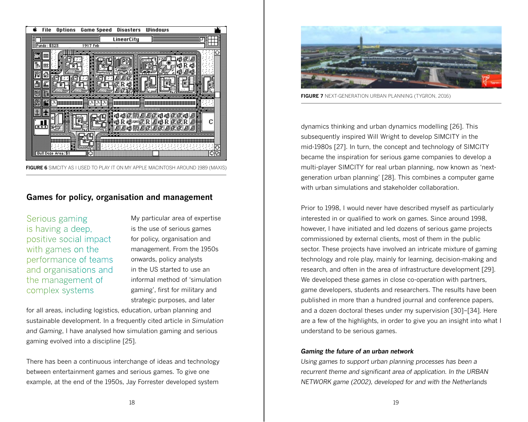

**FIGURE 6** SIMCITY AS I USED TO PLAY IT ON MY APPLE MACINTOSH AROUND 1989 (MAXIS)

#### **Games for policy, organisation and management**

Serious gaming is having a deep, positive social impact with games on the performance of teams and organisations and the management of complex systems

My particular area of expertise is the use of serious games for policy, organisation and management. From the 1950s onwards, policy analysts in the US started to use an informal method of 'simulation gaming', first for military and strategic purposes, and later

for all areas, including logistics, education, urban planning and sustainable development. In a frequently cited article in *Simulation and Gaming*, I have analysed how simulation gaming and serious gaming evolved into a discipline [25].

There has been a continuous interchange of ideas and technology between entertainment games and serious games. To give one example, at the end of the 1950s, Jay Forrester developed system



**FIGURE 7** NEXT-GENERATION URBAN PLANNING (TYGRON, 2016)

dynamics thinking and urban dynamics modelling [26]. This subsequently inspired Will Wright to develop SIMCITY in the mid-1980s [27]. In turn, the concept and technology of SIMCITY became the inspiration for serious game companies to develop a multi-player SIMCITY for real urban planning, now known as 'nextgeneration urban planning' [28]. This combines a computer game with urban simulations and stakeholder collaboration.

Prior to 1998, I would never have described myself as particularly interested in or qualified to work on games. Since around 1998, however, I have initiated and led dozens of serious game projects commissioned by external clients, most of them in the public sector. These projects have involved an intricate mixture of gaming technology and role play, mainly for learning, decision-making and research, and often in the area of infrastructure development [29]. We developed these games in close co-operation with partners, game developers, students and researchers. The results have been published in more than a hundred journal and conference papers, and a dozen doctoral theses under my supervision [30]–[34]. Here are a few of the highlights, in order to give you an insight into what I understand to be serious games.

#### *Gaming the future of an urban network*

*Using games to support urban planning processes has been a recurrent theme and significant area of application. In the URBAN NETWORK game (2002), developed for and with the Netherlands*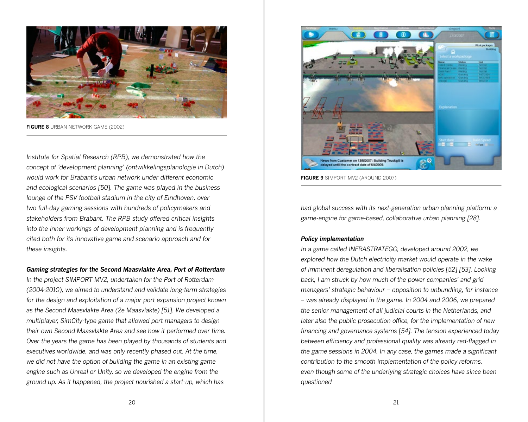

**FIGURE 8** URBAN NETWORK GAME (2002)

*Institute for Spatial Research (RPB), we demonstrated how the concept of 'development planning' (ontwikkelingsplanologie in Dutch) would work for Brabant's urban network under different economic and ecological scenarios [50]. The game was played in the business lounge of the PSV football stadium in the city of Eindhoven, over two full-day gaming sessions with hundreds of policymakers and stakeholders from Brabant. The RPB study offered critical insights into the inner workings of development planning and is frequently cited both for its innovative game and scenario approach and for these insights.* 

#### *Gaming strategies for the Second Maasvlakte Area, Port of Rotterdam*

*In the project SIMPORT MV2, undertaken for the Port of Rotterdam (2004-2010), we aimed to understand and validate long-term strategies*  for the design and exploitation of a major port expansion project known *as the Second Maasvlakte Area (2e Maasvlakte) [51]. We developed a multiplayer, SimCity-type game that allowed port managers to design their own Second Maasvlakte Area and see how it performed over time. Over the years the game has been played by thousands of students and executives worldwide, and was only recently phased out. At the time, we did not have the option of building the game in an existing game engine such as Unreal or Unity, so we developed the engine from the ground up. As it happened, the project nourished a start-up, which has* 



**FIGURE 9** SIMPORT MV2 (AROUND 2007)

*had global success with its next-generation urban planning platform: a game-engine for game-based, collaborative urban planning [28].*

#### *Policy implementation*

*In a game called INFRASTRATEGO, developed around 2002, we explored how the Dutch electricity market would operate in the wake of imminent deregulation and liberalisation policies [52] [53]. Looking back, I am struck by how much of the power companies' and grid managers' strategic behaviour – opposition to unbundling, for instance – was already displayed in the game. In 2004 and 2006, we prepared the senior management of all judicial courts in the Netherlands, and later also the public prosecution office, for the implementation of new financing and governance systems [54]. The tension experienced today between efficiency and professional quality was already red-flagged in the game sessions in 2004. In any case, the games made a significant contribution to the smooth implementation of the policy reforms, even though some of the underlying strategic choices have since been questioned*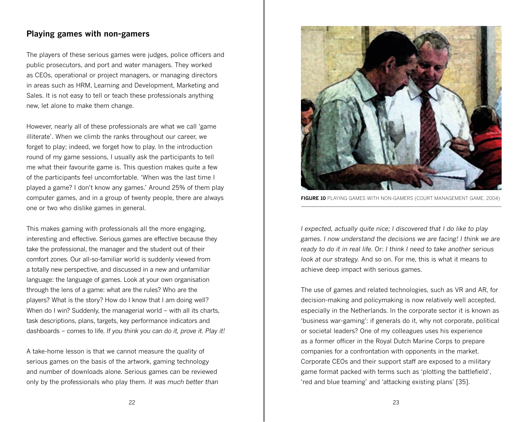### **Playing games with non-gamers**

The players of these serious games were judges, police officers and public prosecutors, and port and water managers. They worked as CEOs, operational or project managers, or managing directors in areas such as HRM, Learning and Development, Marketing and Sales. It is not easy to tell or teach these professionals anything new, let alone to make them change.

However, nearly all of these professionals are what we call 'game illiterate'. When we climb the ranks throughout our career, we forget to play; indeed, we forget how to play. In the introduction round of my game sessions, I usually ask the participants to tell me what their favourite game is. This question makes quite a few of the participants feel uncomfortable. 'When was the last time I played a game? I don't know any games.' Around 25% of them play computer games, and in a group of twenty people, there are always one or two who dislike games in general.

This makes gaming with professionals all the more engaging, interesting and effective. Serious games are effective because they take the professional, the manager and the student out of their comfort zones. Our all-so-familiar world is suddenly viewed from a totally new perspective, and discussed in a new and unfamiliar language: the language of games. Look at your own organisation through the lens of a game: what are the rules? Who are the players? What is the story? How do I know that I am doing well? When do I win? Suddenly, the managerial world – with all its charts, task descriptions, plans, targets, key performance indicators and dashboards – comes to life. *If you think you can do it, prove it. Play it!*

A take-home lesson is that we cannot measure the quality of serious games on the basis of the artwork, gaming technology and number of downloads alone. Serious games can be reviewed only by the professionals who play them. *It was much better than* 



**FIGURE 10** PLAYING GAMES WITH NON-GAMERS (COURT MANAGEMENT GAME, 2004)

*I expected, actually quite nice; I discovered that I do like to play games. I now understand the decisions we are facing! I think we are ready to do it in real life.* Or: *I think I need to take another serious look at our strategy.* And so on. For me, this is what it means to achieve deep impact with serious games.

The use of games and related technologies, such as VR and AR, for decision-making and policymaking is now relatively well accepted, especially in the Netherlands. In the corporate sector it is known as 'business war-gaming': if generals do it, why not corporate, political or societal leaders? One of my colleagues uses his experience as a former officer in the Royal Dutch Marine Corps to prepare companies for a confrontation with opponents in the market. Corporate CEOs and their support staff are exposed to a military game format packed with terms such as 'plotting the battlefield', 'red and blue teaming' and 'attacking existing plans' [35].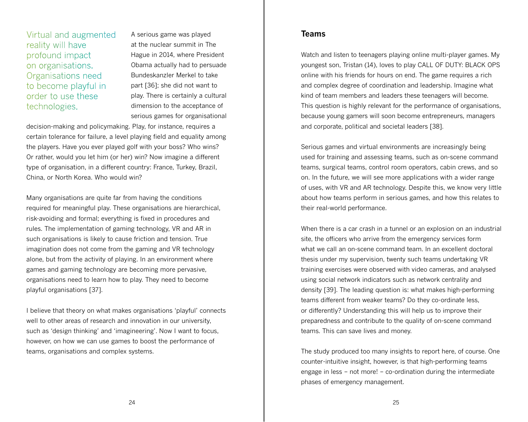Virtual and augmented reality will have profound impact on organisations. Organisations need to become playful in order to use these technologies.

A serious game was played at the nuclear summit in The Hague in 2014, where President Obama actually had to persuade Bundeskanzler Merkel to take part [36]; she did not want to play. There is certainly a cultural dimension to the acceptance of serious games for organisational

decision-making and policymaking. Play, for instance, requires a certain tolerance for failure, a level playing field and equality among the players. Have you ever played golf with your boss? Who wins? Or rather, would you let him (or her) win? Now imagine a different type of organisation, in a different country: France, Turkey, Brazil, China, or North Korea. Who would win?

Many organisations are quite far from having the conditions required for meaningful play. These organisations are hierarchical, risk-avoiding and formal; everything is fixed in procedures and rules. The implementation of gaming technology, VR and AR in such organisations is likely to cause friction and tension. True imagination does not come from the gaming and VR technology alone, but from the activity of playing. In an environment where games and gaming technology are becoming more pervasive, organisations need to learn how to play. They need to become playful organisations [37].

I believe that theory on what makes organisations 'playful' connects well to other areas of research and innovation in our university, such as 'design thinking' and 'imagineering'. Now I want to focus, however, on how we can use games to boost the performance of teams, organisations and complex systems.

#### **Teams**

Watch and listen to teenagers playing online multi-player games. My youngest son, Tristan (14), loves to play CALL OF DUTY: BLACK OPS online with his friends for hours on end. The game requires a rich and complex degree of coordination and leadership. Imagine what kind of team members and leaders these teenagers will become. This question is highly relevant for the performance of organisations, because young gamers will soon become entrepreneurs, managers and corporate, political and societal leaders [38].

Serious games and virtual environments are increasingly being used for training and assessing teams, such as on-scene command teams, surgical teams, control room operators, cabin crews, and so on. In the future, we will see more applications with a wider range of uses, with VR and AR technology. Despite this, we know very little about how teams perform in serious games, and how this relates to their real-world performance.

When there is a car crash in a tunnel or an explosion on an industrial site, the officers who arrive from the emergency services form what we call an on-scene command team. In an excellent doctoral thesis under my supervision, twenty such teams undertaking VR training exercises were observed with video cameras, and analysed using social network indicators such as network centrality and density [39]. The leading question is: what makes high-performing teams different from weaker teams? Do they co-ordinate less, or differently? Understanding this will help us to improve their preparedness and contribute to the quality of on-scene command teams. This can save lives and money.

The study produced too many insights to report here, of course. One counter-intuitive insight, however, is that high-performing teams engage in less – not more! – co-ordination during the intermediate phases of emergency management.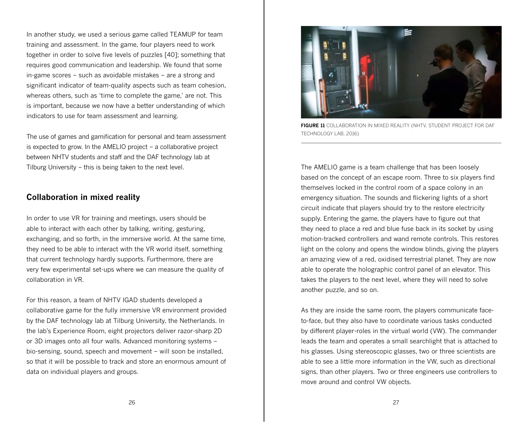In another study, we used a serious game called TEAMUP for team training and assessment. In the game, four players need to work together in order to solve five levels of puzzles [40]; something that requires good communication and leadership. We found that some in-game scores – such as avoidable mistakes – are a strong and significant indicator of team-quality aspects such as team cohesion, whereas others, such as 'time to complete the game,' are not. This is important, because we now have a better understanding of which indicators to use for team assessment and learning.

The use of games and gamification for personal and team assessment is expected to grow. In the AMELIO project – a collaborative project between NHTV students and staff and the DAF technology lab at Tilburg University – this is being taken to the next level.

#### **Collaboration in mixed reality**

In order to use VR for training and meetings, users should be able to interact with each other by talking, writing, gesturing, exchanging, and so forth, in the immersive world. At the same time, they need to be able to interact with the VR world itself, something that current technology hardly supports. Furthermore, there are very few experimental set-ups where we can measure the quality of collaboration in VR.

For this reason, a team of NHTV IGAD students developed a collaborative game for the fully immersive VR environment provided by the DAF technology lab at Tilburg University, the Netherlands. In the lab's Experience Room, eight projectors deliver razor-sharp 2D or 3D images onto all four walls. Advanced monitoring systems – bio-sensing, sound, speech and movement – will soon be installed, so that it will be possible to track and store an enormous amount of data on individual players and groups.



**FIGURE 11** COLLABORATION IN MIXED REALITY (NHTV, STUDENT PROJECT FOR DAF TECHNOLOGY LAB, 2016)

The AMELIO game is a team challenge that has been loosely based on the concept of an escape room. Three to six players find themselves locked in the control room of a space colony in an emergency situation. The sounds and flickering lights of a short circuit indicate that players should try to the restore electricity supply. Entering the game, the players have to figure out that they need to place a red and blue fuse back in its socket by using motion-tracked controllers and wand remote controls. This restores light on the colony and opens the window blinds, giving the players an amazing view of a red, oxidised terrestrial planet. They are now able to operate the holographic control panel of an elevator. This takes the players to the next level, where they will need to solve another puzzle, and so on.

As they are inside the same room, the players communicate faceto-face, but they also have to coordinate various tasks conducted by different player-roles in the virtual world (VW). The commander leads the team and operates a small searchlight that is attached to his glasses. Using stereoscopic glasses, two or three scientists are able to see a little more information in the VW, such as directional signs, than other players. Two or three engineers use controllers to move around and control VW objects.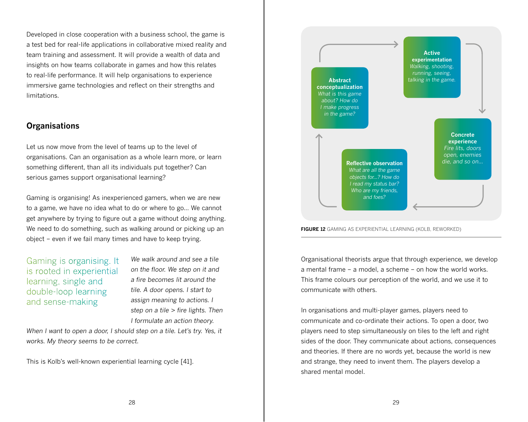Developed in close cooperation with a business school, the game is a test bed for real-life applications in collaborative mixed reality and team training and assessment. It will provide a wealth of data and insights on how teams collaborate in games and how this relates to real-life performance. It will help organisations to experience immersive game technologies and reflect on their strengths and limitations.

#### **Organisations**

Let us now move from the level of teams up to the level of organisations. Can an organisation as a whole learn more, or learn something different, than all its individuals put together? Can serious games support organisational learning?

Gaming is organising! As inexperienced gamers, when we are new to a game, we have no idea what to do or where to go... We cannot get anywhere by trying to figure out a game without doing anything. We need to do something, such as walking around or picking up an object – even if we fail many times and have to keep trying.

Gaming is organising. It is rooted in experiential learning, single and double-loop learning and sense-making

*We walk around and see a tile on the floor. We step on it and a fire becomes lit around the tile. A door opens. I start to assign meaning to actions. I step on a tile > fire lights. Then I formulate an action theory.* 

*When I want to open a door, I should step on a tile. Let's try. Yes, it works. My theory seems to be correct.* 

This is Kolb's well-known experiential learning cycle [41].





Organisational theorists argue that through experience, we develop a mental frame – a model, a scheme – on how the world works. This frame colours our perception of the world, and we use it to communicate with others.

In organisations and multi-player games, players need to communicate and co-ordinate their actions. To open a door, two players need to step simultaneously on tiles to the left and right sides of the door. They communicate about actions, consequences and theories. If there are no words yet, because the world is new and strange, they need to invent them. The players develop a shared mental model.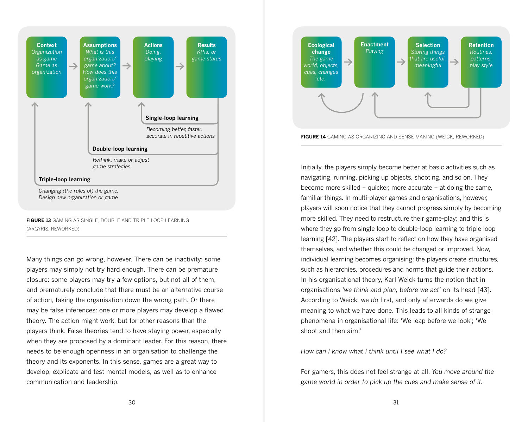

**FIGURE 13** GAMING AS SINGLE, DOUBLE AND TRIPLE LOOP LEARNING (ARGYRIS, REWORKED)

Many things can go wrong, however. There can be inactivity: some players may simply not try hard enough. There can be premature closure: some players may try a few options, but not all of them, and prematurely conclude that there must be an alternative course of action, taking the organisation down the wrong path. Or there may be false inferences: one or more players may develop a flawed theory. The action might work, but for other reasons than the players think. False theories tend to have staying power, especially when they are proposed by a dominant leader. For this reason, there needs to be enough openness in an organisation to challenge the theory and its exponents. In this sense, games are a great way to develop, explicate and test mental models, as well as to enhance communication and leadership.



Initially, the players simply become better at basic activities such as navigating, running, picking up objects, shooting, and so on. They become more skilled – quicker, more accurate – at doing the same, familiar things. In multi-player games and organisations, however, players will soon notice that they cannot progress simply by becoming more skilled. They need to restructure their game-play; and this is where they go from single loop to double-loop learning to triple loop learning [42]. The players start to reflect on how they have organised themselves, and whether this could be changed or improved. Now, individual learning becomes organising: the players create structures, such as hierarchies, procedures and norms that guide their actions. In his organisational theory, Karl Weick turns the notion that in organisations *'we think and plan, before we act'* on its head [43]. According to Weick, we *do* first, and only afterwards do we give meaning to what we have done. This leads to all kinds of strange phenomena in organisational life: 'We leap before we look'; 'We shoot and then aim!'

*How can I know what I think until I see what I do?*

For gamers, this does not feel strange at all. *You move around the game world in order to pick up the cues and make sense of it.*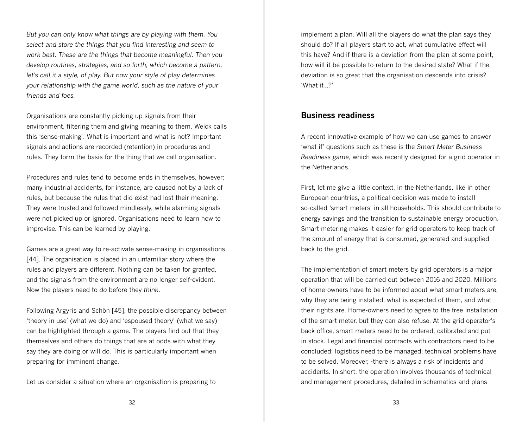*But you can only know what things are by playing with them. You select and store the things that you find interesting and seem to work best. These are the things that become meaningful. Then you develop routines, strategies, and so forth, which become a pattern, let's call it a style, of play. But now your style of play determines your relationship with the game world, such as the nature of your friends and foes.*

Organisations are constantly picking up signals from their environment, filtering them and giving meaning to them. Weick calls this 'sense-making'. What is important and what is not? Important signals and actions are recorded (retention) in procedures and rules. They form the basis for the thing that we call organisation.

Procedures and rules tend to become ends in themselves, however; many industrial accidents, for instance, are caused not by a lack of rules, but because the rules that did exist had lost their meaning. They were trusted and followed mindlessly, while alarming signals were not picked up or ignored. Organisations need to learn how to improvise. This can be learned by playing.

Games are a great way to re-activate sense-making in organisations [44]. The organisation is placed in an unfamiliar story where the rules and players are different. Nothing can be taken for granted, and the signals from the environment are no longer self-evident. Now the players need to *do* before they *think*.

Following Argyris and Schön [45], the possible discrepancy between 'theory in use' (what we do) and 'espoused theory' (what we say) can be highlighted through a game. The players find out that they themselves and others do things that are at odds with what they say they are doing or will do. This is particularly important when preparing for imminent change.

Let us consider a situation where an organisation is preparing to

implement a plan. Will all the players do what the plan says they should do? If all players start to act, what cumulative effect will this have? And if there is a deviation from the plan at some point, how will it be possible to return to the desired state? What if the deviation is so great that the organisation descends into crisis? 'What if...?'

#### **Business readiness**

A recent innovative example of how we can use games to answer 'what if' questions such as these is the *Smart Meter Business Readiness game*, which was recently designed for a grid operator in the Netherlands.

First, let me give a little context. In the Netherlands, like in other European countries, a political decision was made to install so-called 'smart meters' in all households. This should contribute to energy savings and the transition to sustainable energy production. Smart metering makes it easier for grid operators to keep track of the amount of energy that is consumed, generated and supplied back to the grid.

The implementation of smart meters by grid operators is a major operation that will be carried out between 2016 and 2020. Millions of home-owners have to be informed about what smart meters are, why they are being installed, what is expected of them, and what their rights are. Home-owners need to agree to the free installation of the smart meter, but they can also refuse. At the grid operator's back office, smart meters need to be ordered, calibrated and put in stock. Legal and financial contracts with contractors need to be concluded; logistics need to be managed; technical problems have to be solved. Moreover, -there is always a risk of incidents and accidents. In short, the operation involves thousands of technical and management procedures, detailed in schematics and plans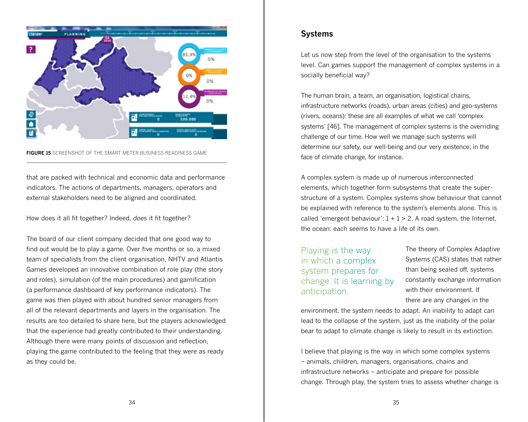

#### **FIGURE 15** SCREENSHOT OF THE SMART METER BUSINESS READINESS GAME

that are packed with technical and economic data and performance indicators. The actions of departments, managers, operators and external stakeholders need to be aligned and coordinated.

How does it all fit together? Indeed, *does* it fit together?

The board of our client company decided that one good way to find out would be to play a game. Over five months or so, a mixed team of specialists from the client organisation, NHTV and Atlantis Games developed an innovative combination of role play (the story and roles), simulation (of the main procedures) and gamification (a performance dashboard of key performance indicators). The game was then played with about hundred senior managers from all of the relevant departments and layers in the organisation. The results are too detailed to share here, but the players acknowledged that the experience had greatly contributed to their understanding. Although there were many points of discussion and reflection, playing the game contributed to the feeling that they were as ready as they could be.

### **Systems**

Let us now step from the level of the organisation to the systems level. Can games support the management of complex systems in a socially beneficial way?

The human brain, a team, an organisation, logistical chains, infrastructure networks (roads), urban areas (cities) and geo-systems (rivers, oceans): these are all examples of what we call 'complex systems' [46]. The management of complex systems is the overriding challenge of our time. How well we manage such systems will determine our safety, our well-being and our very existence; in the face of climate change, for instance.

A complex system is made up of numerous interconnected elements, which together form subsystems that create the superstructure of a system. Complex systems show behaviour that cannot be explained with reference to the system's elements alone. This is called 'emergent behaviour':  $1 + 1 > 2$ . A road system, the Internet, the ocean: each seems to have a life of its own.

Playing is the way in which a complex system prepares for change. It is learning by anticipation.

The theory of Complex Adaptive Systems (CAS) states that rather than being sealed off, systems constantly exchange information with their environment. If there are any changes in the

environment, the system needs to adapt. An inability to adapt can lead to the collapse of the system, just as the inability of the polar bear to adapt to climate change is likely to result in its extinction.

I believe that playing is the way in which some complex systems – animals, children, managers, organisations, chains and infrastructure networks – anticipate and prepare for possible change. Through play, the system tries to assess whether change is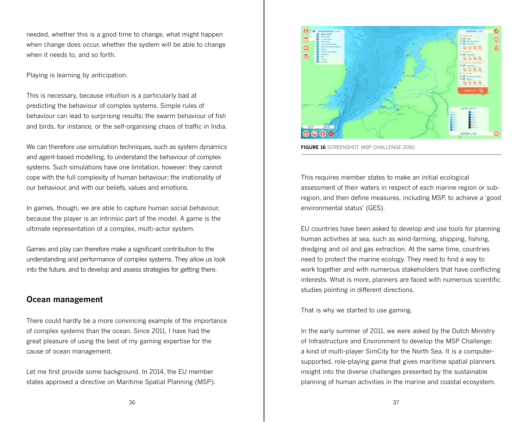needed, whether this is a good time to change, what might happen when change does occur, whether the system will be able to change when it needs to, and so forth.

Playing is learning by anticipation.

This is necessary, because intuition is a particularly bad at predicting the behaviour of complex systems. Simple rules of behaviour can lead to surprising results; the swarm behaviour of fish and birds, for instance, or the self-organising chaos of traffic in India.

We can therefore use simulation techniques, such as system dynamics and agent-based modelling, to understand the behaviour of complex systems. Such simulations have one limitation, however: they cannot cope with the full complexity of human behaviour; the irrationality of our behaviour, and with our beliefs, values and emotions.

In games, though, we are able to capture human social behaviour, because the player is an intrinsic part of the model. A game is the ultimate representation of a complex, multi-actor system.

Games and play can therefore make a significant contribution to the understanding and performance of complex systems. They allow us look into the future, and to develop and assess strategies for getting there.

# **Ocean management**

There could hardly be a more convincing example of the importance of complex systems than the ocean. Since 2011, I have had the great pleasure of using the best of my gaming expertise for the cause of ocean management.

Let me first provide some background. In 2014, the EU member states approved a directive on Maritime Spatial Planning (MSP).



**FIGURE 16** SCREENSHOT, MSP CHALLENGE 2050

This requires member states to make an initial ecological assessment of their waters in respect of each marine region or subregion, and then define measures, including MSP, to achieve a 'good environmental status' (GES).

EU countries have been asked to develop and use tools for planning human activities at sea, such as wind-farming, shipping, fishing, dredging and oil and gas extraction. At the same time, countries need to protect the marine ecology. They need to find a way to work together and with numerous stakeholders that have conflicting interests. What is more, planners are faced with numerous scientific studies pointing in different directions.

That is why we started to use gaming.

In the early summer of 2011, we were asked by the Dutch Ministry of Infrastructure and Environment to develop the MSP Challenge; a kind of multi-player SimCity for the North Sea. It is a computersupported, role-playing game that gives maritime spatial planners insight into the diverse challenges presented by the sustainable planning of human activities in the marine and coastal ecosystem.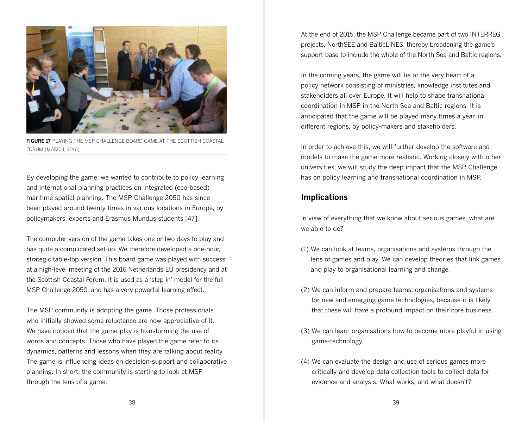

**FIGURE 17** PLAYING THE MSP CHALLENGE BOARD GAME AT THE SCOTTISH COASTAL FORUM (MARCH, 2016)

By developing the game, we wanted to contribute to policy learning and international planning practices on integrated (eco-based) maritime spatial planning. The MSP Challenge 2050 has since been played around twenty times in various locations in Europe, by policymakers, experts and Erasmus Mundus students [47].

The computer version of the game takes one or two days to play and has quite a complicated set-up. We therefore developed a one-hour, strategic table-top version. This board game was played with success at a high-level meeting of the 2016 Netherlands EU presidency and at the Scottish Coastal Forum. It is used as a 'step in' model for the full MSP Challenge 2050, and has a very powerful learning effect.

The MSP community is adopting the game. Those professionals who initially showed some reluctance are now appreciative of it. We have noticed that the game-play is transforming the use of words and concepts. Those who have played the game refer to its dynamics, patterns and lessons when they are talking about reality. The game is influencing ideas on decision-support and collaborative planning. In short: the community is starting to look at MSP through the lens of a game.

At the end of 2015, the MSP Challenge became part of two INTERREG projects, NorthSEE and BalticLINES, thereby broadening the game's support-base to include the whole of the North Sea and Baltic regions.

In the coming years, the game will lie at the very heart of a policy network consisting of ministries, knowledge institutes and stakeholders all over Europe. It will help to shape transnational coordination in MSP in the North Sea and Baltic regions. It is anticipated that the game will be played many times a year, in different regions, by policy-makers and stakeholders.

In order to achieve this, we will further develop the software and models to make the game more realistic. Working closely with other universities, we will study the deep impact that the MSP Challenge has on policy learning and transnational coordination in MSP.

# **Implications**

In view of everything that we know about serious games, what are we able to do?

- (1) We can look at teams, organisations and systems through the lens of games and play. We can develop theories that link games and play to organisational learning and change.
- (2) We can inform and prepare teams, organisations and systems for new and emerging game technologies, because it is likely that these will have a profound impact on their core business.
- (3) We can learn organisations how to become more playful in using game-technology.
- (4) We can evaluate the design and use of serious games more critically and develop data collection tools to collect data for evidence and analysis. What works, and what doesn't?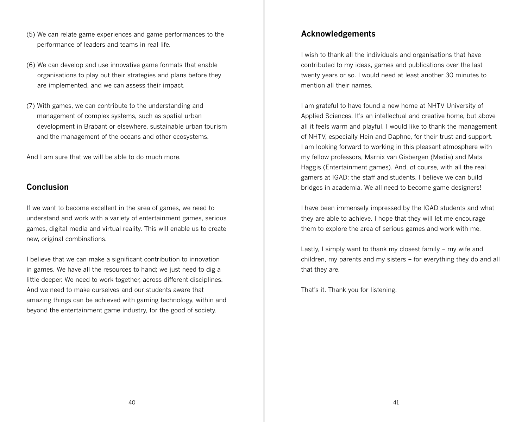- (5) We can relate game experiences and game performances to the performance of leaders and teams in real life.
- (6) We can develop and use innovative game formats that enable organisations to play out their strategies and plans before they are implemented, and we can assess their impact.
- (7) With games, we can contribute to the understanding and management of complex systems, such as spatial urban development in Brabant or elsewhere, sustainable urban tourism and the management of the oceans and other ecosystems.

And I am sure that we will be able to do much more.

#### **Conclusion**

If we want to become excellent in the area of games, we need to understand and work with a variety of entertainment games, serious games, digital media and virtual reality. This will enable us to create new, original combinations.

I believe that we can make a significant contribution to innovation in games. We have all the resources to hand; we just need to dig a little deeper. We need to work together, across different disciplines. And we need to make ourselves and our students aware that amazing things can be achieved with gaming technology, within and beyond the entertainment game industry, for the good of society.

#### **Acknowledgements**

I wish to thank all the individuals and organisations that have contributed to my ideas, games and publications over the last twenty years or so. I would need at least another 30 minutes to mention all their names.

I am grateful to have found a new home at NHTV University of Applied Sciences. It's an intellectual and creative home, but above all it feels warm and playful. I would like to thank the management of NHTV, especially Hein and Daphne, for their trust and support. I am looking forward to working in this pleasant atmosphere with my fellow professors, Marnix van Gisbergen (Media) and Mata Haggis (Entertainment games). And, of course, with all the real gamers at IGAD: the staff and students. I believe we can build bridges in academia. We all need to become game designers!

I have been immensely impressed by the IGAD students and what they are able to achieve. I hope that they will let me encourage them to explore the area of serious games and work with me.

Lastly, I simply want to thank my closest family – my wife and children, my parents and my sisters – for everything they do and all that they are.

That's it. Thank you for listening.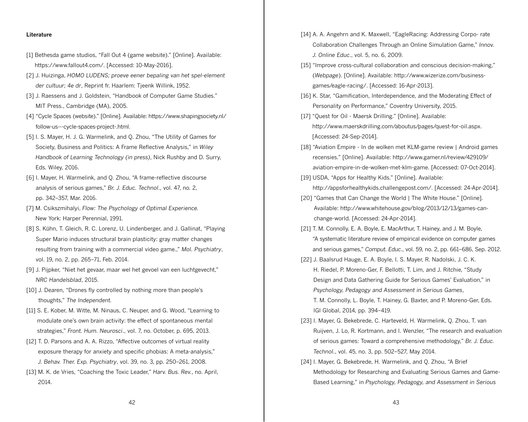#### **Literature**

- [1] Bethesda game studios, "Fall Out 4 (game website)." [Online]. Available: https://www.fallout4.com/. [Accessed: 10-May-2016].
- [2] J. Huizinga, *HOMO LUDENS; proeve eener bepaling van het spel-element der cultuur; 4e dr*, Reprint fr. Haarlem: Tjeenk Willink, 1952.
- [3] J. Raessens and J. Goldstein, "Handbook of Computer Game Studies." MIT Press., Cambridge (MA), 2005.
- [4] "Cycle Spaces (website)." [Online]. Available: https://www.shapingsociety.nl/ follow-us---cycle-spaces-project-.html.
- [5] I. S. Mayer, H. J. G. Warmelink, and Q. Zhou, "The Utility of Games for Society, Business and Politics: A Frame Reflective Analysis," in *Wiley Handbook of Learning Technology (in press)*, Nick Rushby and D. Surry, Eds. Wiley, 2016.
- [6] I. Mayer, H. Warmelink, and Q. Zhou, "A frame-reflective discourse analysis of serious games," *Br. J. Educ. Technol*., vol. 47, no. 2, pp. 342–357, Mar. 2016.
- [7] M. Csikszmihalyi, *Flow: The Psychology of Optimal Experience.* New York: Harper Perennial, 1991.
- [8] S. Kühn, T. Gleich, R. C. Lorenz, U. Lindenberger, and J. Gallinat, "Playing Super Mario induces structural brain plasticity: gray matter changes resulting from training with a commercial video game.," *Mol. Psychiatry*, vol. 19, no. 2, pp. 265–71, Feb. 2014.
- [9] J. Pijpker, "Niet het gevaar, maar wel het gevoel van een luchtgevecht," *NRC Handelsblad*, 2015.
- [10] J. Dearen, "Drones fly controlled by nothing more than people's thoughts," *The Independent.*
- [11] S. E. Kober, M. Witte, M. Ninaus, C. Neuper, and G. Wood, "Learning to modulate one's own brain activity: the effect of spontaneous mental strategies," *Front. Hum. Neurosci*., vol. 7, no. October, p. 695, 2013.
- [12] T. D. Parsons and A. A. Rizzo, "Affective outcomes of virtual reality exposure therapy for anxiety and specific phobias: A meta-analysis," *J. Behav. Ther. Exp. Psychiatry*, vol. 39, no. 3, pp. 250–261, 2008.
- [13] M. K. de Vries, "Coaching the Toxic Leader," *Harv. Bus. Rev.*, no. April, 2014.
- [14] A. A. Angehrn and K. Maxwell, "EagleRacing: Addressing Corpo- rate Collaboration Challenges Through an Online Simulation Game," *Innov. J. Online Educ*., vol. 5, no. 6, 2009.
- [15] "Improve cross-cultural collaboration and conscious decision-making," (*Webpage*). [Online]. Available: http://www.wizerize.com/businessgames/eagle-racing/. [Accessed: 16-Apr-2013].
- [16] K. Star, "Gamification, Interdependence, and the Moderating Effect of Personality on Performance," Coventry University, 2015.
- [17] "Quest for Oil Maersk Drilling." [Online]. Available: http://www.maerskdrilling.com/aboutus/pages/quest-for-oil.aspx. [Accessed: 24-Sep-2014].
- [18] "Aviation Empire In de wolken met KLM-game review | Android games recensies." [Online]. Available: http://www.gamer.nl/review/429109/ aviation-empire-in-de-wolken-met-klm-game. [Accessed: 07-Oct-2014].
- [19] USDA, "Apps for Healthy Kids." [Online]. Available: http://appsforhealthykids.challengepost.com/. [Accessed: 24-Apr-2014].
- [20] "Games that Can Change the World | The White House." [Online]. Available: http://www.whitehouse.gov/blog/2013/12/13/games-canchange-world. [Accessed: 24-Apr-2014].
- [21] T. M. Connolly, E. A. Boyle, E. MacArthur, T. Hainey, and J. M. Boyle, "A systematic literature review of empirical evidence on computer games and serious games," *Comput. Educ*., vol. 59, no. 2, pp. 661–686, Sep. 2012.
- [22] J. Baalsrud Hauge, E. A. Boyle, I. S. Mayer, R. Nadolski, J. C. K. H. Riedel, P. Moreno-Ger, F. Bellotti, T. Lim, and J. Ritchie, "Study Design and Data Gathering Guide for Serious Games' Evaluation," in *Psychology, Pedagogy and Assessment in Serious Games*, T. M. Connolly, L. Boyle, T. Hainey, G. Baxter, and P. Moreno-Ger, Eds. IGI Global, 2014, pp. 394–419.
- [23] I. Mayer, G. Bekebrede, C. Harteveld, H. Warmelink, Q. Zhou, T. van Ruijven, J. Lo, R. Kortmann, and I. Wenzler, "The research and evaluation of serious games: Toward a comprehensive methodology," *Br. J. Educ. Technol*., vol. 45, no. 3, pp. 502–527, May 2014.
- [24] I. Mayer, G. Bekebrede, H. Warmelink, and Q. Zhou, "A Brief Methodology for Researching and Evaluating Serious Games and Game-Based Learning," in *Psychology, Pedagogy, and Assessment in Serious*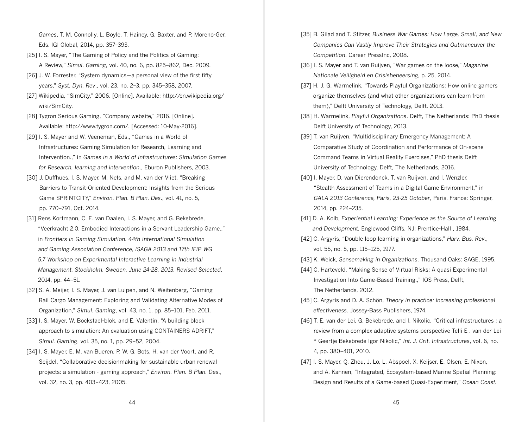*Games*, T. M. Connolly, L. Boyle, T. Hainey, G. Baxter, and P. Moreno-Ger, Eds. IGI Global, 2014, pp. 357–393.

- [25] I. S. Mayer, "The Gaming of Policy and the Politics of Gaming: A Review," *Simul. Gaming*, vol. 40, no. 6, pp. 825–862, Dec. 2009.
- [26] J. W. Forrester, "System dynamics—a personal view of the first fifty years," *Syst. Dyn. Rev*., vol. 23, no. 2–3, pp. 345–358, 2007.
- [27] Wikipedia, "SimCity," 2006. [Online]. Available: http://en.wikipedia.org/ wiki/SimCity.
- [28] Tygron Serious Gaming, "Company website," 2016. [Online]. Available: http://www.tygron.com/. [Accessed: 10-May-2016].
- [29] I. S. Mayer and W. Veeneman, Eds., "Games in a World of Infrastructures: Gaming Simulation for Research, Learning and Intervention.," in *Games in a World of Infrastructures: Simulation Games for Research, learning and intervention*., Eburon Publishers, 2003.
- [30] J. Duffhues, I. S. Mayer, M. Nefs, and M. van der Vliet, "Breaking Barriers to Transit-Oriented Development: Insights from the Serious Game SPRINTCITY," *Environ. Plan. B Plan. Des*., vol. 41, no. 5, pp. 770–791, Oct. 2014.
- [31] Rens Kortmann, C. E. van Daalen, I. S. Mayer, and G. Bekebrede, "Veerkracht 2.0. Embodied Interactions in a Servant Leadership Game.," in *Frontiers in Gaming Simulation. 44th International Simulation and Gaming Association Conference, ISAGA 2013 and 17th IFIP WG 5.7 Workshop on Experimental Interactive Learning in Industrial Management, Stockholm, Sweden, June 24-28, 2013. Revised Selected*, 2014, pp. 44–51.
- [32] S. A. Meijer, I. S. Mayer, J. van Luipen, and N. Weitenberg, "Gaming Rail Cargo Management: Exploring and Validating Alternative Modes of Organization," *Simul. Gaming*, vol. 43, no. 1, pp. 85–101, Feb. 2011.
- [33] I. S. Mayer, W. Bockstael-blok, and E. Valentin, "A building block approach to simulation: An evaluation using CONTAINERS ADRIFT," *Simul. Gaming*, vol. 35, no. 1, pp. 29–52, 2004.
- [34] I. S. Mayer, E. M. van Bueren, P. W. G. Bots, H. van der Voort, and R. Seijdel, "Collaborative decisionmaking for sustainable urban renewal projects: a simulation - gaming approach," *Environ. Plan. B Plan. Des*., vol. 32, no. 3, pp. 403–423, 2005.
- [35] B. Gilad and T. Stitzer, *Business War Games: How Large, Small, and New Companies Can Vastly Improve Their Strategies and Outmaneuver the Competition*. Career PressInc, 2008.
- [36] I. S. Mayer and T. van Ruijven, "War games on the loose," *Magazine Nationale Veiligheid en Crisisbeheersing*, p. 25, 2014.
- [37] H. J. G. Warmelink, "Towards Playful Organizations: How online gamers organize themselves (and what other organizations can learn from them)," Delft University of Technology, Delft, 2013.
- [38] H. Warmelink, *Playful Organizations*. Delft, The Netherlands: PhD thesis Delft University of Technology, 2013.
- [39] T. van Ruijven, "Multidisciplinary Emergency Management: A Comparative Study of Coordination and Performance of On-scene Command Teams in Virtual Reality Exercises," PhD thesis Delft University of Technology, Delft, The Netherlands, 2016.
- [40] I. Mayer, D. van Dierendonck, T. van Ruijven, and I. Wenzler, "Stealth Assessment of Teams in a Digital Game Environment," in *GALA 2013 Conference, Paris, 23-25 October*, Paris, France: Springer, 2014, pp. 224–235.
- [41] D. A. Kolb, *Experiential Learning: Experience as the Source of Learning and Development.* Englewood Cliffs, NJ: Prentice-Hall , 1984.
- [42] C. Argyris, "Double loop learning in organizations," *Harv. Bus. Rev*., vol. 55, no. 5, pp. 115–125, 1977.
- [43] K. Weick, *Sensemaking in Organizations*. Thousand Oaks: SAGE, 1995.
- [44] C. Harteveld, "Making Sense of Virtual Risks; A quasi Experimental Investigation Into Game-Based Training.," IOS Press, Delft, The Netherlands, 2012.
- [45] C. Argyris and D. A. Schön, *Theory in practice: increasing professional effectiveness*. Jossey-Bass Publishers, 1974.
- [46] T. E. van der Lei, G. Bekebrede, and I. Nikolic, "Critical infrastructures : a review from a complex adaptive systems perspective Telli E . van der Lei \* Geertje Bekebrede Igor Nikolic," *Int. J. Crit. Infrastructures*, vol. 6, no. 4, pp. 380–401, 2010.
- [47] I. S. Mayer, Q. Zhou, J. Lo, L. Abspoel, X. Keijser, E. Olsen, E. Nixon, and A. Kannen, "Integrated, Ecosystem-based Marine Spatial Planning: Design and Results of a Game-based Quasi-Experiment," *Ocean Coast.*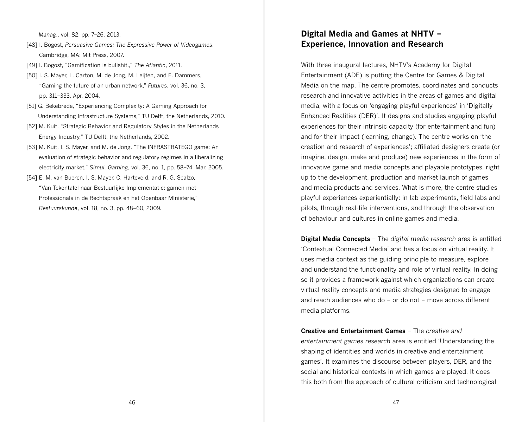*Manag*., vol. 82, pp. 7–26, 2013.

- [48] I. Bogost, *Persuasive Games: The Expressive Power of Videogames*. Cambridge, MA: Mit Press, 2007.
- [49] I. Bogost, "Gamification is bullshit.," *The Atlantic*, 2011.
- [50] I. S. Mayer, L. Carton, M. de Jong, M. Leijten, and E. Dammers, "Gaming the future of an urban network," *Futures*, vol. 36, no. 3, pp. 311–333, Apr. 2004.
- [51] G. Bekebrede, "Experiencing Complexity: A Gaming Approach for Understanding Infrastructure Systems," TU Delft, the Netherlands, 2010.
- [52] M. Kuit, "Strategic Behavior and Regulatory Styles in the Netherlands Energy Industry," TU Delft, the Netherlands, 2002.
- [53] M. Kuit, I. S. Mayer, and M. de Jong, "The INFRASTRATEGO game: An evaluation of strategic behavior and regulatory regimes in a liberalizing electricity market," *Simul. Gaming*, vol. 36, no. 1, pp. 58–74, Mar. 2005.
- [54] E. M. van Bueren, I. S. Mayer, C. Harteveld, and R. G. Scalzo, "Van Tekentafel naar Bestuurlijke Implementatie: gamen met Professionals in de Rechtspraak en het Openbaar MInisterie," *Bestuurskunde*, vol. 18, no. 3, pp. 48–60, 2009.

# **Digital Media and Games at NHTV – Experience, Innovation and Research**

With three inaugural lectures, NHTV's Academy for Digital Entertainment (ADE) is putting the Centre for Games & Digital Media on the map. The centre promotes, coordinates and conducts research and innovative activities in the areas of games and digital media, with a focus on 'engaging playful experiences' in 'Digitally Enhanced Realities (DER)'. It designs and studies engaging playful experiences for their intrinsic capacity (for entertainment and fun) and for their impact (learning, change). The centre works on 'the creation and research of experiences'; affiliated designers create (or imagine, design, make and produce) new experiences in the form of innovative game and media concepts and playable prototypes, right up to the development, production and market launch of games and media products and services. What is more, the centre studies playful experiences experientially: in lab experiments, field labs and pilots, through real-life interventions, and through the observation of behaviour and cultures in online games and media.

**Digital Media Concepts** – The *digital media research* area is entitled 'Contextual Connected Media' and has a focus on virtual reality. It uses media context as the guiding principle to measure, explore and understand the functionality and role of virtual reality. In doing so it provides a framework against which organizations can create virtual reality concepts and media strategies designed to engage and reach audiences who do – or do not – move across different media platforms.

**Creative and Entertainment Games** – The *creative and entertainment games research* area is entitled 'Understanding the shaping of identities and worlds in creative and entertainment games'. It examines the discourse between players, DER, and the social and historical contexts in which games are played. It does this both from the approach of cultural criticism and technological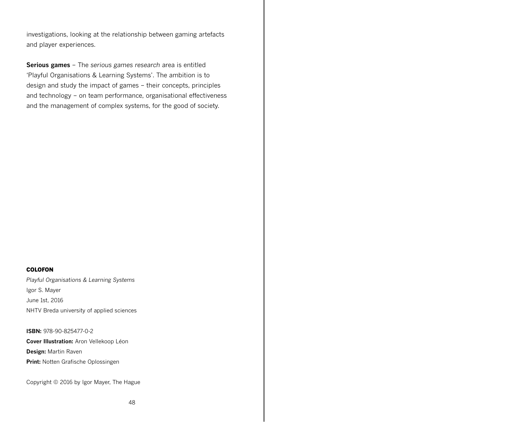investigations, looking at the relationship between gaming artefacts and player experiences.

**Serious games** – The *serious games research* area is entitled 'Playful Organisations & Learning Systems'. The ambition is to design and study the impact of games – their concepts, principles and technology – on team performance, organisational effectiveness and the management of complex systems, for the good of society.

#### **COLOFON**

*Playful Organisations & Learning Systems* Igor S. Mayer June 1st, 2016 NHTV Breda university of applied sciences

**ISBN:** 978-90-825477-0-2

**Cover Illustration:** Aron Vellekoop Léon **Design:** Martin Raven **Print:** Notten Grafische Oplossingen

Copyright © 2016 by Igor Mayer, The Hague